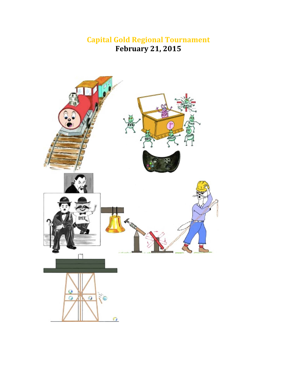# **Capital Gold Regional Tournament February 21, 2015**

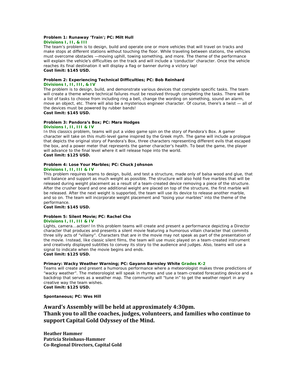#### **Problem 1: Runaway 'Train'; PC: Milt Hull Divisions I, II, & III**

The team's problem is to design, build and operate one or more vehicles that will travel on tracks and make stops at different stations without touching the floor. While traveling between stations, the vehicles must overcome obstacles —moving uphill, towing something, and more. The theme of the performance will explain the vehicle's difficulties on the track and will include a 'conductor' character. Once the vehicle reaches its final destination it will display a flag or banner during a victory lap! **Cost limit: \$145 USD.**

# **Problem 2: Experiencing Technical Difficulties; PC: Bob Reinhard**

#### **Divisions I, II, III, & IV**

The problem is to design, build, and demonstrate various devices that complete specific tasks. The team will create a theme where technical failures must be resolved through completing the tasks. There will be a list of tasks to choose from including ring a bell, change the wording on something, sound an alarm, move an object, etc. There will also be a mysterious engineer character. Of course, there's a twist — all of the devices must be powered by rubber bands! **Cost limit: \$145 USD.**

## **Problem 3: Pandora's Box; PC: Mara Hodges**

#### **Divisions I, II, III & IV**

In this classics problem, teams will put a video game spin on the story of Pandora's Box. A gamer character will take on this multi-level game inspired by the Greek myth. The game will include a prologue that depicts the original story of Pandora's Box, three characters representing different evils that escaped the box, and a power meter that represents the gamer character's health. To beat the game, the player will advance to the final level where it will release hope into the world. **Cost limit: \$125 USD.**

#### **Problem 4: Lose Your Marbles; PC: Chuck Johsnon Divisions I, II, III & IV**

This problem requires teams to design, build, and test a structure, made only of balsa wood and glue, that will balance and support as much weight as possible. The structure will also hold five marbles that will be released during weight placement as a result of a team-created device removing a piece of the structure. After the crusher board and one additional weight are placed on top of the structure, the first marble will be released. After the next weight is supported, the team will use its device to release another marble, and so on. The team will incorporate weight placement and "losing your marbles" into the theme of the performance.

**Cost limit: \$145 USD.**

#### **Problem 5: Silent Movie; PC: Rachel Cho Divisions I, II, III & IV**

Lights, camera...action! In this problem teams will create and present a performance depicting a Director character that produces and presents a silent movie featuring a humorous villain character that commits three silly acts of "villainy". Characters that are in the movie may not speak as part of the presentation of the movie. Instead, like classic silent films, the team will use music played on a team-created instrument and creatively displayed subtitles to convey its story to the audience and judges. Also, teams will use a signal to indicate when the movie begins and ends. **Cost limit: \$125 USD.**

#### **Primary: Wacky Weather Warning; PC: Gayann Barnsley White Grades K-2**

Teams will create and present a humorous performance where a meteorologist makes three predictions of "wacky weather". The meteorologist will speak in rhymes and use a team-created forecasting device and a backdrop that serves as a weather map. The community will "tune in" to get the weather report in any creative way the team wishes.

**Cost limit: \$125 USD.**

**Spontaneous; PC: Wes Hill** 

# **Award's Assembly will be held at approximately 4:30pm. Thank you to all the coaches, judges, volunteers, and families who continue to support Capital Gold Odyssey of the Mind.**

**Heather Hammer Patricia Steinhaus‐Hammer Co‐Regional Directors, Capital Gold**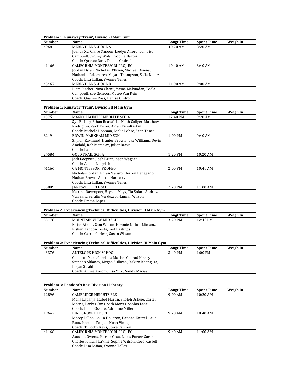#### **Problem 1: Runaway 'Train', Division I Main Gym**

| <b>Number</b> | Name                                             | <b>Longt Time</b> | <b>Spont Time</b> | Weigh In |
|---------------|--------------------------------------------------|-------------------|-------------------|----------|
| 4968          | MERRYHILL SCHOOL A                               | $10:20$ AM        | 8:20 AM           |          |
|               | Joshua Xu, Claire Simoon, Jaedyn Alford, Lombiso |                   |                   |          |
|               | Campbell, Sydney Walsh, Sophie Baxter            |                   |                   |          |
|               | Coach: Quanee Ross, Denise Ondrof                |                   |                   |          |
| 41166         | CALIFORNIA MONTESSORI PROJ-EG                    | $10:40$ AM        | 8:40 AM           |          |
|               | Jordan Dylan, Nicholas O'Brien, Michael Owens,   |                   |                   |          |
|               | Nathaniel Palomares, Megan Thompson, Sofia Nunez |                   |                   |          |
|               | Coach: Lisa Laffan, Yvonne Telles                |                   |                   |          |
| 43467         | MERRYHILL SCHOOL B                               | 11:00 AM          | $9:00$ AM         |          |
|               | Liam Fischer, Nina Chenu, Yasna Makundan, Tedla  |                   |                   |          |
|               | Campbell, Zoe Genetos, Mateo Van Rein            |                   |                   |          |
|               | Coach: Quanee Ross, Denise Ondrof                |                   |                   |          |

#### **Problem 1: Runaway 'Train', Division II Main Gym**

| <b>Number</b> | Name                                                | <b>Longt Time</b> | <b>Spont Time</b> | Weigh In |
|---------------|-----------------------------------------------------|-------------------|-------------------|----------|
| 1375          | MAGNOLIA INTERMEDIATE SCH A                         | 12:40 PM          | $9:20$ AM         |          |
|               | Syd Bishop, Ethan Brassfield, Noah Collyer, Matthew |                   |                   |          |
|               | Rodriguez, Zack Tener, Aidan Tice-Raskin            |                   |                   |          |
|               | Coach: Michele Uppman, Leslie Lohse, Sean Tener     |                   |                   |          |
| 8219          | EDWIN MARKHAM MID SCH                               | $1:00 \text{ PM}$ | 9:40 AM           |          |
|               | Shyloh Raymond, Hunter Brown, Jake Williams, Devin  |                   |                   |          |
|               | Amdahl, Rob Mathews, Juliet Bravo                   |                   |                   |          |
|               | Coach: Pam Cooke                                    |                   |                   |          |
| 24584         | <b>GOLD TRAIL SCH A</b>                             | 1:20 PM           | 10:20 AM          |          |
|               | Jack Loeprich, Josh Brint, Jason Wagner             |                   |                   |          |
|               | Coach: Alison Loeprich                              |                   |                   |          |
| 41166         | CA MONTESSORI PROJ-EG                               | $2:00$ PM         | 10:40 AM          |          |
|               | Nicholas Jordan, Ethan Maiuro, Herron Renegado,     |                   |                   |          |
|               | Nathan Brown, Allison Hardesty                      |                   |                   |          |
|               | Coach: Lisa Laffan, Yvonne Telles                   |                   |                   |          |
| 35089         | <b>IANESVILLE ELE SCH</b>                           | $2:20$ PM         | 11:00 AM          |          |
|               | Katrina Davenport, Bryson Mays, Tia Solari, Andrew  |                   |                   |          |
|               | Van Sant, Serafin Verduzco, Hannah Wilson           |                   |                   |          |
|               | Coach: Emma Lopez                                   |                   |                   |          |

### **Problem 2: Experiencing Technical Difficulties, Division II Main Gym**

| <b>Number</b> | <b>Name</b>                                         | <b>Longt Time</b> | <b>Spont Time</b> | Weigh In |
|---------------|-----------------------------------------------------|-------------------|-------------------|----------|
| 33178         | MOUNTAIN VIEW MID SCH                               | $3:20$ PM         | 12:40 PM          |          |
|               | Elijah Atkins, Sam Wilson, Kimmie Nickel, Mickenzie |                   |                   |          |
|               | Fisher, Landon Tosta, Joel Hastings                 |                   |                   |          |
|               | Coach: Carrie Corless, Susan Wilson                 |                   |                   |          |

#### **Problem 2: Experiencing Technical Difficulties, Division III Main Gym**

| <b>Number</b> | <b>Name</b>                                        | <b>Longt Time</b> | <b>Spont Time</b> | Weigh In |
|---------------|----------------------------------------------------|-------------------|-------------------|----------|
| 43376         | ANTELOPE HIGH SCHOOL                               | $3:40$ PM         | $1:00 \text{ PM}$ |          |
|               | Cameron Yuki, Gabriella Macias, Conrad Kinsey,     |                   |                   |          |
|               | Stephan Aklanov, Megan Sullivan, Jaskirn Khangura, |                   |                   |          |
|               | Logan Strahl                                       |                   |                   |          |
|               | Coach: Aimee Yocom, Lisa Yuki, Sandy Macias        |                   |                   |          |

#### **Problem 3: Pandora's Box, Division I Library**

| <b>Number</b> | <b>Name</b>                                          | <b>Longt Time</b> | <b>Spont Time</b> | Weigh In |
|---------------|------------------------------------------------------|-------------------|-------------------|----------|
| 12896         | <b>CAMBRIDGE HEIGHTS ELE</b>                         | $9:00$ AM         | $10:20$ AM        |          |
|               | Malia Lapanja, Isabel Martin, Sholeh Oskuie, Carter  |                   |                   |          |
|               | Morris, Parker Sims, Seth Morris, Sophia Lane        |                   |                   |          |
|               | Coach: Linda Oskuie, Adrianne Miller                 |                   |                   |          |
| 19642         | PINE GROVE ELE SCH                                   | $9:20$ AM         | $10:40$ AM        |          |
|               | Macey Dillon, Collin Holleran, Hannah Knittel, Cella |                   |                   |          |
|               | Root, Isabelle Teague, Noah Vining                   |                   |                   |          |
|               | Coach: Timothy Keys, Steve Cannon                    |                   |                   |          |
| 41166         | CALIFORNIA MONTESSORI PROJ-EG                        | 9:40AM            | $11:00$ AM        |          |
|               | Autumn Owens, Patrick Cruz, Lucas Porter, Sarah      |                   |                   |          |
|               | Charles, Chiara LaVine, Sophie Wilson, Coco Russell  |                   |                   |          |
|               | Coach: Lisa Laffan, Yvonne Telles                    |                   |                   |          |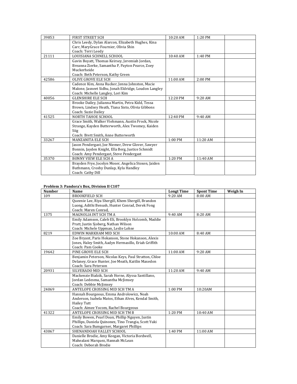| 39853 | <b>FIRST STREET SCH</b>                               | 10:20 AM  | 1:20 PM  |  |
|-------|-------------------------------------------------------|-----------|----------|--|
|       | Chris Leedy, Dylan Alarcon, Elizabeth Hughes, Kina    |           |          |  |
|       | Carr, MaryGrace Fournier, Olivia Shin                 |           |          |  |
|       | Coach: Terri Leedy                                    |           |          |  |
| 21111 | LOUISIANA SCHNELL SCHOOL                              | 10:40 AM  | 1:40 PM  |  |
|       | Gavin Boyatt, Thomas Keirsey, Jeremiah Jordan,        |           |          |  |
|       | Breanna Zierke, Samantha P, Payton Pearce, Zoey       |           |          |  |
|       | Muckerheide                                           |           |          |  |
|       | Coach: Beth Peterson, Kathy Green                     |           |          |  |
| 42586 | <b>OLIVE GROVE ELE SCH</b>                            | 11:00 AM  | 2:00 PM  |  |
|       | Cadence Kim, Anna Rucker, Jenna Johnston, Macie       |           |          |  |
|       | Malone, Jasneet Sidhu, Jonah Eldridge, Loudon Langley |           |          |  |
|       | Coach: Michelle Langley, Lori Kim                     |           |          |  |
| 40056 | <b>GLENSHIRE ELE SCH</b>                              | 12:20 PM  | 9:20 AM  |  |
|       | Brooke Dailey, Julianna Martin, Petra Kidd, Tessa     |           |          |  |
|       | Brown, Lindsey Heath, Tiana Sisto, Olivia Gibbons     |           |          |  |
|       | Coach: Suzie Dailey                                   |           |          |  |
| 41525 | NORTH TAHOE SCHOOL                                    | 12:40 PM  | 9:40 AM  |  |
|       | Grace Smith, Walker Viehmann, Austin Frock, Nicole    |           |          |  |
|       | Strange, Kayden Butterworth, Alex Twomey, Kaiden      |           |          |  |
|       | Siig                                                  |           |          |  |
|       | Coach: Brett Smith, Anne Butterworth                  |           |          |  |
| 33267 | <b>MANZANITA ELE SCH</b>                              | 1:00 PM   | 11:20 AM |  |
|       | Jason Pendergast, Joe Niemer, Drew Glover, Sawyer     |           |          |  |
|       | Bonnin, Jayden Knight, Ella Berg, Justice Schmidt     |           |          |  |
|       | Coach: Amy Pendergast, Steve Pendergast               |           |          |  |
| 35370 | <b>BONNY VIEW ELE SCH A</b>                           | $1:20$ PM | 11:40 AM |  |
|       | Brayden Frye, Jocelyn Moser, Angelica Stoxen, Jaiden  |           |          |  |
|       | Buthmann, Crosby Dunlap, Kyla Handley                 |           |          |  |
|       | Coach: Cathy Dill                                     |           |          |  |

#### **Problem 3: Pandora's Box, Division II C107**

| <b>Number</b> | Name                                                  | <b>Longt Time</b> | <b>Spont Time</b> | Weigh In |
|---------------|-------------------------------------------------------|-------------------|-------------------|----------|
| 109           | <b>BROOKFIELD SCH</b>                                 | 9:20 AM           | 8:00 AM           |          |
|               | Queenie Lee, Riya Shergill, Khem Shergill, Brandon    |                   |                   |          |
|               | Luong, Adithi Benush, Hunter Conrad, Derek Fong       |                   |                   |          |
|               | Coach: Maren Conrad,                                  |                   |                   |          |
| 1375          | MAGNOLIA INT SCH TM A                                 | 9:40 AM           | 8:20 AM           |          |
|               | Emily Adamson, Caleb Eli, Brooklyn Holcomb, Maddie    |                   |                   |          |
|               | Pratt, Justin Sjoberg, Nathan Wilson                  |                   |                   |          |
|               | Coach: Michele Uppman, Leslie Lohse                   |                   |                   |          |
| 8219          | EDWIN MARKHAM MID SCH                                 | 10:00 AM          | 8:40 AM           |          |
|               | Zoe Bryant, Paris Hokanson, Stone Hokanson, Alexis    |                   |                   |          |
|               | Jones, Haley Smith, Aadyn Hermasillo, Eriah Griffith  |                   |                   |          |
|               | Coach: Pam Cooke                                      |                   |                   |          |
| 19642         | PINE GROVE ELE SCH                                    | 11:00 AM          | 9:20 AM           |          |
|               | Benjamin Peterson, Nicolas Keys, Paul Stratton, Chloe |                   |                   |          |
|               | Delaney, Grace Hunter, Joe Meath, Kaitlin Maxedon     |                   |                   |          |
|               | Coach: Sara Peterson                                  |                   |                   |          |
| 20931         | SILVERADO MID SCH                                     | 11:20 AM          | 9:40 AM           |          |
|               | Mackenzie Bialzik, Sarah Horne, Alyssa Santillano,    |                   |                   |          |
|               | Jordan Ledesma, Samantha McJimsey                     |                   |                   |          |
|               | Coach: Debbie McJimsey                                |                   |                   |          |
| 24069         | ANTELOPE CROSSING MID SCH TM A                        | 1:00 PM           | 10:20AM           |          |
|               | Hannah Bourgeous, Emma Androlowicz, Noah              |                   |                   |          |
|               | Anderson, Isabela Matos, Ethan Alves, Kendal Smith,   |                   |                   |          |
|               | Hailey Tutt                                           |                   |                   |          |
|               | Coach: Aimee Yocom, Rachel Bourgeous                  |                   |                   |          |
| 41322         | ANTELOPE CROSSING MID SCH TM B                        | 1:20 PM           | 10:40 AM          |          |
|               | Emily Bowen, Pearl Doan, Phillip Nguyen, Justin       |                   |                   |          |
|               | Phillips, Daniela Quinonez, Tino Trangia, Scott Yuki  |                   |                   |          |
|               | Coach: Sara Bumgarner, Margaret Phillips              |                   |                   |          |
| 43067         | SHENANDOAH VALLEY SCHOOL                              | 1:40 PM           | 11:00 AM          |          |
|               | Danielle Brodie, Amy Keegan, Victoria Bordwell,       |                   |                   |          |
|               | Mahealani Marquez, Hannah McLean                      |                   |                   |          |
|               | Coach: Deborah Brodie                                 |                   |                   |          |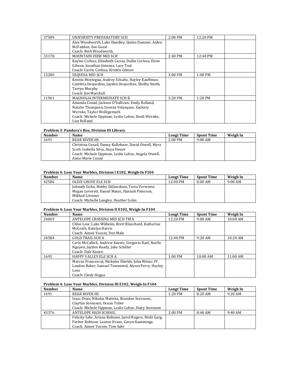| 37589 | UNIVERSITY PREPARATORY SCH                             | $2:00$ PM | 12:20 PM           |  |
|-------|--------------------------------------------------------|-----------|--------------------|--|
|       | Alex Woodworth, Luke Handley, Quinn Damner, Aiden      |           |                    |  |
|       | McFadden, Zoe Guest                                    |           |                    |  |
|       | Coach: Beth Woodworth,                                 |           |                    |  |
| 33178 | MOUNTAIN VIEW MID SCH                                  | $2:40$ PM | $12:40 \text{ PM}$ |  |
|       | Kaylee Corless, Elizabeth Caccia, Dallin Corless, Drew |           |                    |  |
|       | Gibson, Jonathan Jimenez, Lacy Toal                    |           |                    |  |
|       | Coach: Carrie Corless, Kristen Gibson                  |           |                    |  |
| 13280 | SEQUOIA MID SCH                                        | 3:00 PM   | 1:00 PM            |  |
|       | Kristin Montegna, Audrey Schultz, Hayley Kauffman,     |           |                    |  |
|       | Cambria Desjardins, Jayden Desjardins, Shelby Smith,   |           |                    |  |
|       | <b>Tarryn Murphy</b>                                   |           |                    |  |
|       | Coach: Jim Marshall                                    |           |                    |  |
| 11961 | MAGNOLIA INTERMEDIATE SCH B                            | $3:20$ PM | $1:20$ PM          |  |
|       | Amanda Cozad, Jackson O'Sullivan, Emily Rolland,       |           |                    |  |
|       | Natalie Thompson, Syenna Velasquez, Zachary            |           |                    |  |
|       | Wernke, Taylor Wohlgemuth                              |           |                    |  |
|       | Coach: Michele Uppman, Leslie Lohse, Heidi Wernke,     |           |                    |  |
|       | Lisa Rolland                                           |           |                    |  |

#### **Problem 3: Pandora's Box, Division III Library**

| <b>Number</b> | <b>Name</b>                                          | <b>Longt Time</b> | <b>Spont Time</b> | Weigh In |
|---------------|------------------------------------------------------|-------------------|-------------------|----------|
| 1691          | <b>BEAR RIVER HS</b>                                 | $2:00$ PM         | $9:00 \text{ AM}$ |          |
|               | Christina Cozad, Danny Kollehner, David Otwell, Myra |                   |                   |          |
|               | Scott, Isabella Silva, Anya Steuer                   |                   |                   |          |
|               | Coach: Michele Uppman, Leslie Lohse, Angela Otwell,  |                   |                   |          |
|               | Anne-Marie Cozad                                     |                   |                   |          |

#### **Problem 4: Lose Your Marbles, Division I E102, Weigh‐In F104**

| <b>Number</b> | <b>Name</b>                                     | <b>Longt Time</b>  | <b>Spont Time</b> | Weigh In  |
|---------------|-------------------------------------------------|--------------------|-------------------|-----------|
| 42586         | OLIVE GROVE ELE SCH                             | $12:00 \text{ PM}$ | 8:00AM            | $9:00$ AM |
|               | Johnath Gohn, Bobby DiGiordano, Tavia Verwoest, |                    |                   |           |
|               | Megan Leverett, Daniel Matos, Hannah Peterson,  |                    |                   |           |
|               | Mikhail Litvinov                                |                    |                   |           |
|               | Coach: Michelle Langley, Heather Gohn           |                    |                   |           |

#### **Problem 4: Lose Your Marbles, Division II E102, Weigh‐In F104**

| <b>Number</b> | <b>Name</b>                                           | <b>Longt Time</b> | <b>Spont Time</b> | Weigh In   |
|---------------|-------------------------------------------------------|-------------------|-------------------|------------|
| 24069         | ANTELOPE CROSSING MID SCH TM A                        | 12:20 PM          | $9:00$ AM         | 10:00 AM   |
|               | Chloe Low, Luke Wilhelm, Brett Blanchard, Katherine   |                   |                   |            |
|               | McGrath, Katelyn Harris                               |                   |                   |            |
|               | Coach: Aimee Yocom, Don Male                          |                   |                   |            |
| 24584         | <b>GOLD TRAIL SCH A</b>                               | 12:40 PM          | $9:20$ AM         | $10:20$ AM |
|               | Carlo McCallick, Andrew Kasnic, Gregorio Rael, Noelle |                   |                   |            |
|               | Nguyen, Jayden Roady, Jake Schiller                   |                   |                   |            |
|               | Coach: Dale Kasnic                                    |                   |                   |            |
| 1695          | <b>HAPPY VALLEY ELE SCH A</b>                         | $1:00$ PM         | $10:00$ AM        | $11:00$ AM |
|               | Marcus Francescut, Nickoles Shields, John Bitner, IV. |                   |                   |            |
|               | Landon Baker, Samuel Townsend, Alyssa Perry, Hayley   |                   |                   |            |
|               | Leos                                                  |                   |                   |            |
|               | Coach: Cindy Hogue                                    |                   |                   |            |

#### **Problem 4: Lose Your Marbles, Division III E102, Weigh‐In F104**

| <b>Number</b> | Name                                                     | <b>Longt Time</b> | <b>Spont Time</b> | Weigh In  |
|---------------|----------------------------------------------------------|-------------------|-------------------|-----------|
| 1691          | <b>BEAR RIVER HS</b>                                     | $1:20$ PM         | 8:20 AM           | $9:20$ AM |
|               | Isaac Drais, Nikolas Matiska, Branden Sorensen,          |                   |                   |           |
|               | Clayton Sorensen, Ocean Tober                            |                   |                   |           |
|               | Coach: Michele Uppman, Leslie Lohse, Staey Sorensen      |                   |                   |           |
| 43376         | ANTELOPE HIGH SCHOOL                                     | $2:00$ PM         | 8:40 AM           | $9:40$ AM |
|               | Felicity Sahr, Ariana Robison, Jared Rogers, Nishi Garg, |                   |                   |           |
|               | Parker Robison, Lauren Evans, Gavyn Kamminga             |                   |                   |           |
|               | Coach: Aimee Yocom, Tom Sahr                             |                   |                   |           |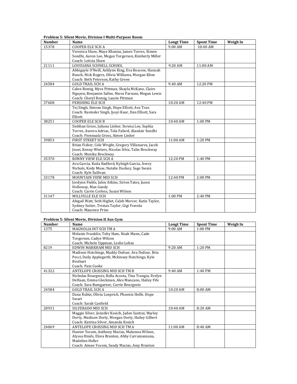| <b>Number</b> | Name                                                   | <b>Longt Time</b> | <b>Spont Time</b> | Weigh In |
|---------------|--------------------------------------------------------|-------------------|-------------------|----------|
| 15378         | <b>COOPER ELE SCH A</b>                                | 9:00 AM           | 10:40 AM          |          |
|               | Veronica Shaw, Maya Khanna, James Torres, Ximon        |                   |                   |          |
|               | Sondhi, Aaron Lee, Megan Torgerson, Kimberly Miller    |                   |                   |          |
|               | Coach: Leticia Shaw                                    |                   |                   |          |
| 21111         | LOUISIANA SCHNELL SCHOOL                               | 9:20 AM           | 11:00 AM          |          |
|               | Abbigayle O'Neill, Ashlynn King, Eva Boscow, Hannah    |                   |                   |          |
|               | Bunch, Nick Rogers, Olivia Williams, Morgan Kline      |                   |                   |          |
|               | Coach: Beth Peterson, Kathy Green                      |                   |                   |          |
| 24584         | <b>GOLD TRAIL SCH A</b>                                | 9:40 AM           | 12:20 PM          |          |
|               | Calen Romig, Myra Pittman, Shayla McKane, Claire       |                   |                   |          |
|               | Nguyen, Benjamin Sallee, Nieva Parsons, Megan Lewis    |                   |                   |          |
|               | Coach: Cheryl Romig, Laurie Pittman                    |                   |                   |          |
| 37608         | PERSHING ELE SCH                                       | $10:20$ AM        | 12:40 PM          |          |
|               | Tej Singh, Simran Singh, Hope Elliott, Ava Tran        |                   |                   |          |
|               | Coach: Ravinder Singh, Jyoyi Kaur, Dan Elliott, Sara   |                   |                   |          |
|               | Elliott                                                |                   |                   |          |
| 38251         | <b>COOPER ELE SCH B</b>                                | 10:40 AM          | 1:00 PM           |          |
|               | Siobhan Gross, Juliana Linker, Serena Lee, Sophia      |                   |                   |          |
|               | Torres, Aurora Adrias, Tula Fafard, Alasdair Sondhi    |                   |                   |          |
|               | Coach: Fionnuala Gross, Aimee Linker                   |                   |                   |          |
| 39853         | <b>FIRST STREET SCH</b>                                | 11:00 AM          | 1:20 PM           |          |
|               | Brian Fisher, Cole Wright, Gregory Villanueva, Jacob   |                   |                   |          |
|               | Joost, Kenny Winters, Nicolas Silva, Talin Brockway    |                   |                   |          |
|               | Coach: Monika Brockway                                 |                   |                   |          |
| 35370         | <b>BONNY VIEW ELE SCH A</b>                            | 12:20 PM          | 1:40 PM           |          |
|               | Ava Garcia, Koda Radford, Kyleigh Garcia, Avery        |                   |                   |          |
|               | Nichols, Kody Muse, Natalie Duckey, Sage Swain         |                   |                   |          |
|               | Coach: Kyle Sullivan                                   |                   |                   |          |
| 33178         | MOUNTAIN VIEW MID SCH                                  | 12:40 PM          | 2:00 PM           |          |
|               | Jordynn Fields, Jalen Atkins, Sirion Yates, Jaxon      |                   |                   |          |
|               | Holloway, Max Gandy                                    |                   |                   |          |
|               | Coach: Carrie Corless, Susan Wilson                    |                   |                   |          |
| 31147         | MILLVILLE ELE SCH                                      | 1:00 PM           | 2:40 PM           |          |
|               | Abigail Watt, Seth Highet, Caleb Mercer, Katie Taylor, |                   |                   |          |
|               | Sydney Sutter, Tristan Taylor, Gigi Fravela            |                   |                   |          |
|               | Coach: Maureen Prins                                   |                   |                   |          |

## **Problem 5: Silent Movie, Division I Multi‐Purpose Room**

#### **Problem 5: Silent Movie, Division II Aux Gym**

| <b>Number</b> | Name                                                   | <b>Longt Time</b> | <b>Spont Time</b> | Weigh In |
|---------------|--------------------------------------------------------|-------------------|-------------------|----------|
| 1375          | MAGNOLIA INT SCH TM A                                  | $9:00$ AM         | $1:00$ PM         |          |
|               | Melanie Franklin, Toby Ham, Noah Mann, Cade            |                   |                   |          |
|               | Torgerson, Cadyn Wilson                                |                   |                   |          |
|               | Coach: Michele Uppman, Leslie Lohse                    |                   |                   |          |
| 8219          | EDWIN MARKHAM MID SCH                                  | $9:20$ AM         | 1:20 PM           |          |
|               | Madison Hutchings, Maddy Dufour, Ava Dufour, Bria      |                   |                   |          |
|               | Pecci, Daily Applegarth, Mckinsey Hutchings, Kyle      |                   |                   |          |
|               | <b>Breibart</b>                                        |                   |                   |          |
|               | Coach: Pam Cooke                                       |                   |                   |          |
| 41322         | ANTELOPE CROSSING MID SCH TM B                         | 9:40AM            | 1:40 PM           |          |
|               | Nicholas Bourgeois, Bella Acosta, Tina Trangia, Evelyn |                   |                   |          |
|               | DeHaan, Emma Gleckman, Alex Mancano, Hailey Fife       |                   |                   |          |
|               | Coach: Sara Bumgarner, Carrie Bourgeois                |                   |                   |          |
| 24584         | <b>GOLD TRAIL SCH A</b>                                | $10:20$ AM        | 8:00AM            |          |
|               | Dana Rubin, Olivia Loeprich, Phoenix Hoffe, Hope       |                   |                   |          |
|               | Swart                                                  |                   |                   |          |
|               | Coach: Sarah Canfield                                  |                   |                   |          |
| 20931         | SILVERADO MID SCH                                      | $10:40$ AM        | 8:20 AM           |          |
|               | Maggie Silver, Jennifer Kosich, Jaden Santini, Marley  |                   |                   |          |
|               | Dorty, Madison Dorty, Morgan Dorty, Hailey Gilbert     |                   |                   |          |
|               | Coach: Katrina Silver, Amanda Kosich                   |                   |                   |          |
| 24069         | ANTELOPE CROSSING MID SCH TM A                         | $11:00$ AM        | 8:40 AM           |          |
|               | Hunter Yocom, Anthony Macias, Makenna Wilson,          |                   |                   |          |
|               | Alyssa Hinds, Elora Branton, Abby Carramanzana,        |                   |                   |          |
|               | Madeline Heller                                        |                   |                   |          |
|               | Coach: Aimee Yocom, Sandy Macias, Amy Branton          |                   |                   |          |